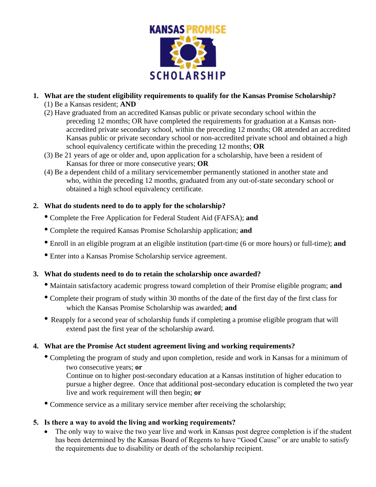

- **1. What are the student eligibility requirements to qualify for the Kansas Promise Scholarship?**  (1) Be a Kansas resident; **AND**
	- (2) Have graduated from an accredited Kansas public or private secondary school within the preceding 12 months; OR have completed the requirements for graduation at a Kansas nonaccredited private secondary school, within the preceding 12 months; OR attended an accredited Kansas public or private secondary school or non-accredited private school and obtained a high school equivalency certificate within the preceding 12 months; **OR**
	- (3) Be 21 years of age or older and, upon application for a scholarship, have been a resident of Kansas for three or more consecutive years; **OR**
	- (4) Be a dependent child of a military servicemember permanently stationed in another state and who, within the preceding 12 months, graduated from any out-of-state secondary school or obtained a high school equivalency certificate.

## **2. What do students need to do to apply for the scholarship?**

- Complete the Free Application for Federal Student Aid (FAFSA); **and**
- Complete the required Kansas Promise Scholarship application; **and**
- Enroll in an eligible program at an eligible institution (part-time (6 or more hours) or full-time); **and**
- Enter into a Kansas Promise Scholarship service agreement.

### **3. What do students need to do to retain the scholarship once awarded?**

- Maintain satisfactory academic progress toward completion of their Promise eligible program; **and**
- Complete their program of study within 30 months of the date of the first day of the first class for which the Kansas Promise Scholarship was awarded; **and**
- Reapply for a second year of scholarship funds if completing a promise eligible program that will extend past the first year of the scholarship award.

### **4. What are the Promise Act student agreement living and working requirements?**

- Completing the program of study and upon completion, reside and work in Kansas for a minimum of two consecutive years; **or**
	- Continue on to higher post-secondary education at a Kansas institution of higher education to pursue a higher degree. Once that additional post-secondary education is completed the two year live and work requirement will then begin; **or**
- Commence service as a military service member after receiving the scholarship;

### **5. Is there a way to avoid the living and working requirements?**

• The only way to waive the two year live and work in Kansas post degree completion is if the student has been determined by the Kansas Board of Regents to have "Good Cause" or are unable to satisfy the requirements due to disability or death of the scholarship recipient.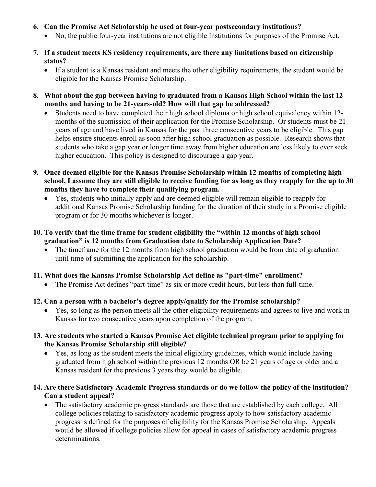- **6. Can the Promise Act Scholarship be used at four-year postsecondary institutions?**
	- No, the public four-year institutions are not eligible Institutions for purposes of the Promise Act.
- **7. If a student meets KS residency requirements, are there any limitations based on citizenship status?** 
	- If a student is a Kansas resident and meets the other eligibility requirements, the student would be eligible for the Kansas Promise Scholarship.
- **8. What about the gap between having to graduated from a Kansas High School within the last 12 months and having to be 21-years-old? How will that gap be addressed?**
	- Students need to have completed their high school diploma or high school equivalency within 12 months of the submission of their application for the Promise Scholarship. Or students must be 21 years of age and have lived in Kansas for the past three consecutive years to be eligible. This gap helps ensure students enroll as soon after high school graduation as possible. Research shows that students who take a gap year or longer time away from higher education are less likely to ever seek higher education. This policy is designed to discourage a gap year.
- **9. Once deemed eligible for the Kansas Promise Scholarship within 12 months of completing high school, I assume they are still eligible to receive funding for as long as they reapply for the up to 30 months they have to complete their qualifying program.** 
	- Yes, students who initially apply and are deemed eligible will remain eligible to reapply for additional Kansas Promise Scholarship funding for the duration of their study in a Promise eligible program or for 30 months whichever is longer.
- **10. To verify that the time frame for student eligibility the "within 12 months of high school graduation" is 12 months from Graduation date to Scholarship Application Date?** 
	- The timeframe for the 12 months from high school graduation would be from date of graduation until time of submitting the application for the scholarship.
- **11. What does the Kansas Promise Scholarship Act define as "part-time" enrollment?** 
	- The Promise Act defines "part-time" as six or more credit hours, but less than full-time.
- **12. Can a person with a bachelor's degree apply/qualify for the Promise scholarship?**
	- Yes, so long as the person meets all the other eligibility requirements and agrees to live and work in Kansas for two consecutive years upon completion of the program.
- **13. Are students who started a Kansas Promise Act eligible technical program prior to applying for the Kansas Promise Scholarship still eligible?** 
	- Yes, as long as the student meets the initial eligibility guidelines, which would include having graduated from high school within the previous 12 months OR be 21 years of age or older and a Kansas resident for the previous 3 years they would be eligible.
- **14. Are there Satisfactory Academic Progress standards or do we follow the policy of the institution? Can a student appeal?** 
	- The satisfactory academic progress standards are those that are established by each college. All college policies relating to satisfactory academic progress apply to how satisfactory academic progress is defined for the purposes of eligibility for the Kansas Promise Scholarship. Appeals would be allowed if college policies allow for appeal in cases of satisfactory academic progress determinations.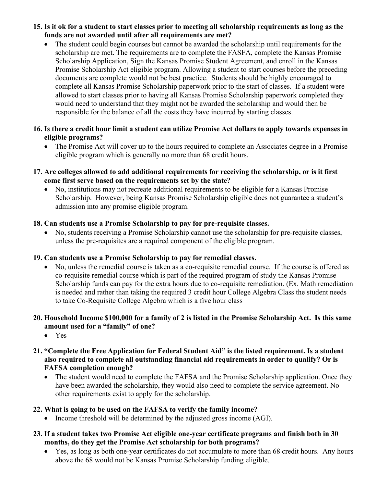### **15. Is it ok for a student to start classes prior to meeting all scholarship requirements as long as the funds are not awarded until after all requirements are met?**

The student could begin courses but cannot be awarded the scholarship until requirements for the scholarship are met. The requirements are to complete the FASFA, complete the Kansas Promise Scholarship Application, Sign the Kansas Promise Student Agreement, and enroll in the Kansas Promise Scholarship Act eligible program. Allowing a student to start courses before the preceding documents are complete would not be best practice. Students should be highly encouraged to complete all Kansas Promise Scholarship paperwork prior to the start of classes. If a student were allowed to start classes prior to having all Kansas Promise Scholarship paperwork completed they would need to understand that they might not be awarded the scholarship and would then be responsible for the balance of all the costs they have incurred by starting classes.

#### **16. Is there a credit hour limit a student can utilize Promise Act dollars to apply towards expenses in eligible programs?**

- The Promise Act will cover up to the hours required to complete an Associates degree in a Promise eligible program which is generally no more than 68 credit hours.
- **17. Are colleges allowed to add additional requirements for receiving the scholarship, or is it first come first serve based on the requirements set by the state?**
	- No, institutions may not recreate additional requirements to be eligible for a Kansas Promise Scholarship. However, being Kansas Promise Scholarship eligible does not guarantee a student's admission into any promise eligible program.

## **18. Can students use a Promise Scholarship to pay for pre-requisite classes.**

• No, students receiving a Promise Scholarship cannot use the scholarship for pre-requisite classes, unless the pre-requisites are a required component of the eligible program.

### **19. Can students use a Promise Scholarship to pay for remedial classes.**

• No, unless the remedial course is taken as a co-requisite remedial course. If the course is offered as co-requisite remedial course which is part of the required program of study the Kansas Promise Scholarship funds can pay for the extra hours due to co-requisite remediation. (Ex. Math remediation is needed and rather than taking the required 3 credit hour College Algebra Class the student needs to take Co-Requisite College Algebra which is a five hour class

## **20. Household Income \$100,000 for a family of 2 is listed in the Promise Scholarship Act. Is this same amount used for a "family" of one?**

• Yes

## **21. "Complete the Free Application for Federal Student Aid" is the listed requirement. Is a student also required to complete all outstanding financial aid requirements in order to qualify? Or is FAFSA completion enough?**

• The student would need to complete the FAFSA and the Promise Scholarship application. Once they have been awarded the scholarship, they would also need to complete the service agreement. No other requirements exist to apply for the scholarship.

# **22. What is going to be used on the FAFSA to verify the family income?**

- Income threshold will be determined by the adjusted gross income (AGI).
- **23. If a student takes two Promise Act eligible one-year certificate programs and finish both in 30 months, do they get the Promise Act scholarship for both programs?** 
	- Yes, as long as both one-year certificates do not accumulate to more than 68 credit hours. Any hours above the 68 would not be Kansas Promise Scholarship funding eligible.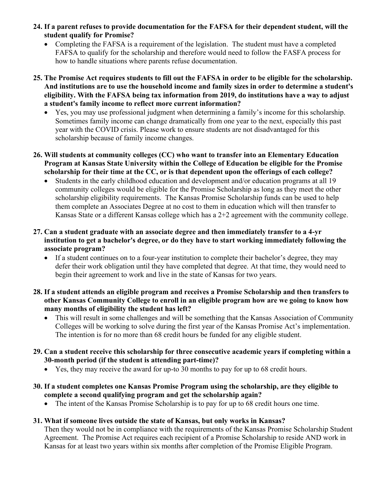- **24. If a parent refuses to provide documentation for the FAFSA for their dependent student, will the student qualify for Promise?** 
	- Completing the FAFSA is a requirement of the legislation. The student must have a completed FAFSA to qualify for the scholarship and therefore would need to follow the FASFA process for how to handle situations where parents refuse documentation.
- **25. The Promise Act requires students to fill out the FAFSA in order to be eligible for the scholarship. And institutions are to use the household income and family sizes in order to determine a student's eligibility. With the FAFSA being tax information from 2019, do institutions have a way to adjust a student's family income to reflect more current information?** 
	- Yes, you may use professional judgment when determining a family's income for this scholarship. Sometimes family income can change dramatically from one year to the next, especially this past year with the COVID crisis. Please work to ensure students are not disadvantaged for this scholarship because of family income changes.
- **26. Will students at community colleges (CC) who want to transfer into an Elementary Education Program at Kansas State University within the College of Education be eligible for the Promise scholarship for their time at the CC, or is that dependent upon the offerings of each college?**
	- Students in the early childhood education and development and/or education programs at all 19 community colleges would be eligible for the Promise Scholarship as long as they meet the other scholarship eligibility requirements. The Kansas Promise Scholarship funds can be used to help them complete an Associates Degree at no cost to them in education which will then transfer to Kansas State or a different Kansas college which has a 2+2 agreement with the community college.
- **27. Can a student graduate with an associate degree and then immediately transfer to a 4-yr institution to get a bachelor's degree, or do they have to start working immediately following the associate program?** 
	- If a student continues on to a four-year institution to complete their bachelor's degree, they may defer their work obligation until they have completed that degree. At that time, they would need to begin their agreement to work and live in the state of Kansas for two years.
- **28. If a student attends an eligible program and receives a Promise Scholarship and then transfers to other Kansas Community College to enroll in an eligible program how are we going to know how many months of eligibility the student has left?** 
	- This will result in some challenges and will be something that the Kansas Association of Community Colleges will be working to solve during the first year of the Kansas Promise Act's implementation. The intention is for no more than 68 credit hours be funded for any eligible student.
- **29. Can a student receive this scholarship for three consecutive academic years if completing within a 30-month period (if the student is attending part-time)?**
	- Yes, they may receive the award for up-to 30 months to pay for up to 68 credit hours.
- **30. If a student completes one Kansas Promise Program using the scholarship, are they eligible to complete a second qualifying program and get the scholarship again?** 
	- The intent of the Kansas Promise Scholarship is to pay for up to 68 credit hours one time.

### **31. What if someone lives outside the state of Kansas, but only works in Kansas?**

Then they would not be in compliance with the requirements of the Kansas Promise Scholarship Student Agreement. The Promise Act requires each recipient of a Promise Scholarship to reside AND work in Kansas for at least two years within six months after completion of the Promise Eligible Program.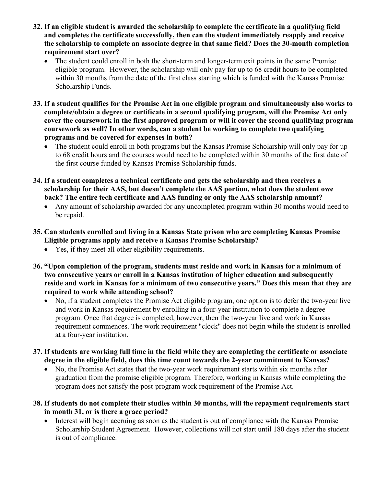- **32. If an eligible student is awarded the scholarship to complete the certificate in a qualifying field and completes the certificate successfully, then can the student immediately reapply and receive the scholarship to complete an associate degree in that same field? Does the 30-month completion requirement start over?** 
	- The student could enroll in both the short-term and longer-term exit points in the same Promise eligible program. However, the scholarship will only pay for up to 68 credit hours to be completed within 30 months from the date of the first class starting which is funded with the Kansas Promise Scholarship Funds.
- **33. If a student qualifies for the Promise Act in one eligible program and simultaneously also works to complete/obtain a degree or certificate in a second qualifying program, will the Promise Act only cover the coursework in the first approved program or will it cover the second qualifying program coursework as well? In other words, can a student be working to complete two qualifying programs and be covered for expenses in both?** 
	- The student could enroll in both programs but the Kansas Promise Scholarship will only pay for up to 68 credit hours and the courses would need to be completed within 30 months of the first date of the first course funded by Kansas Promise Scholarship funds.
- **34. If a student completes a technical certificate and gets the scholarship and then receives a scholarship for their AAS, but doesn't complete the AAS portion, what does the student owe back? The entire tech certificate and AAS funding or only the AAS scholarship amount?**
	- Any amount of scholarship awarded for any uncompleted program within 30 months would need to be repaid.
- **35. Can students enrolled and living in a Kansas State prison who are completing Kansas Promise Eligible programs apply and receive a Kansas Promise Scholarship?** 
	- Yes, if they meet all other eligibility requirements.
- **36. "Upon completion of the program, students must reside and work in Kansas for a minimum of two consecutive years or enroll in a Kansas institution of higher education and subsequently reside and work in Kansas for a minimum of two consecutive years." Does this mean that they are required to work while attending school?**
	- No, if a student completes the Promise Act eligible program, one option is to defer the two-year live and work in Kansas requirement by enrolling in a four-year institution to complete a degree program. Once that degree is completed, however, then the two-year live and work in Kansas requirement commences. The work requirement "clock" does not begin while the student is enrolled at a four-year institution.
- **37. If students are working full time in the field while they are completing the certificate or associate degree in the eligible field, does this time count towards the 2-year commitment to Kansas?** 
	- No, the Promise Act states that the two-year work requirement starts within six months after graduation from the promise eligible program. Therefore, working in Kansas while completing the program does not satisfy the post-program work requirement of the Promise Act.
- **38. If students do not complete their studies within 30 months, will the repayment requirements start in month 31, or is there a grace period?**
	- Interest will begin accruing as soon as the student is out of compliance with the Kansas Promise Scholarship Student Agreement. However, collections will not start until 180 days after the student is out of compliance.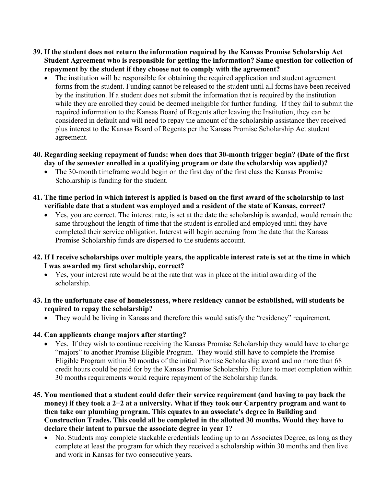- **39. If the student does not return the information required by the Kansas Promise Scholarship Act Student Agreement who is responsible for getting the information? Same question for collection of repayment by the student if they choose not to comply with the agreement?** 
	- The institution will be responsible for obtaining the required application and student agreement forms from the student. Funding cannot be released to the student until all forms have been received by the institution. If a student does not submit the information that is required by the institution while they are enrolled they could be deemed ineligible for further funding. If they fail to submit the required information to the Kansas Board of Regents after leaving the Institution, they can be considered in default and will need to repay the amount of the scholarship assistance they received plus interest to the Kansas Board of Regents per the Kansas Promise Scholarship Act student agreement.
- **40. Regarding seeking repayment of funds: when does that 30-month trigger begin? (Date of the first day of the semester enrolled in a qualifying program or date the scholarship was applied)?** 
	- The 30-month timeframe would begin on the first day of the first class the Kansas Promise Scholarship is funding for the student.
- **41. The time period in which interest is applied is based on the first award of the scholarship to last verifiable date that a student was employed and a resident of the state of Kansas, correct?** 
	- Yes, you are correct. The interest rate, is set at the date the scholarship is awarded, would remain the same throughout the length of time that the student is enrolled and employed until they have completed their service obligation. Interest will begin accruing from the date that the Kansas Promise Scholarship funds are dispersed to the students account.
- **42. If I receive scholarships over multiple years, the applicable interest rate is set at the time in which I was awarded my first scholarship, correct?** 
	- Yes, your interest rate would be at the rate that was in place at the initial awarding of the scholarship.
- **43. In the unfortunate case of homelessness, where residency cannot be established, will students be required to repay the scholarship?** 
	- They would be living in Kansas and therefore this would satisfy the "residency" requirement.

# **44. Can applicants change majors after starting?**

- Yes. If they wish to continue receiving the Kansas Promise Scholarship they would have to change "majors" to another Promise Eligible Program. They would still have to complete the Promise Eligible Program within 30 months of the initial Promise Scholarship award and no more than 68 credit hours could be paid for by the Kansas Promise Scholarship. Failure to meet completion within 30 months requirements would require repayment of the Scholarship funds.
- **45. You mentioned that a student could defer their service requirement (and having to pay back the money) if they took a 2+2 at a university. What if they took our Carpentry program and want to then take our plumbing program. This equates to an associate's degree in Building and Construction Trades. This could all be completed in the allotted 30 months. Would they have to declare their intent to pursue the associate degree in year 1?** 
	- No. Students may complete stackable credentials leading up to an Associates Degree, as long as they complete at least the program for which they received a scholarship within 30 months and then live and work in Kansas for two consecutive years.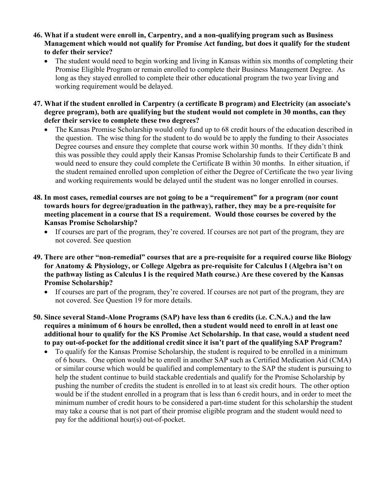- **46. What if a student were enroll in, Carpentry, and a non-qualifying program such as Business Management which would not qualify for Promise Act funding, but does it qualify for the student to defer their service?** 
	- The student would need to begin working and living in Kansas within six months of completing their Promise Eligible Program or remain enrolled to complete their Business Management Degree. As long as they stayed enrolled to complete their other educational program the two year living and working requirement would be delayed.
- **47. What if the student enrolled in Carpentry (a certificate B program) and Electricity (an associate's degree program), both are qualifying but the student would not complete in 30 months, can they defer their service to complete these two degrees?** 
	- The Kansas Promise Scholarship would only fund up to 68 credit hours of the education described in the question. The wise thing for the student to do would be to apply the funding to their Associates Degree courses and ensure they complete that course work within 30 months. If they didn't think this was possible they could apply their Kansas Promise Scholarship funds to their Certificate B and would need to ensure they could complete the Certificate B within 30 months. In either situation, if the student remained enrolled upon completion of either the Degree of Certificate the two year living and working requirements would be delayed until the student was no longer enrolled in courses.
- **48. In most cases, remedial courses are not going to be a "requirement" for a program (nor count towards hours for degree/graduation in the pathway), rather, they may be a pre-requisite for meeting placement in a course that IS a requirement. Would those courses be covered by the Kansas Promise Scholarship?** 
	- If courses are part of the program, they're covered. If courses are not part of the program, they are not covered. See question
- **49. There are other "non-remedial" courses that are a pre-requisite for a required course like Biology for Anatomy & Physiology, or College Algebra as pre-requisite for Calculus I (Algebra isn't on the pathway listing as Calculus I is the required Math course.) Are these covered by the Kansas Promise Scholarship?**
	- If courses are part of the program, they're covered. If courses are not part of the program, they are not covered. See Question 19 for more details.
- **50. Since several Stand-Alone Programs (SAP) have less than 6 credits (i.e. C.N.A.) and the law requires a minimum of 6 hours be enrolled, then a student would need to enroll in at least one additional hour to qualify for the KS Promise Act Scholarship. In that case, would a student need to pay out-of-pocket for the additional credit since it isn't part of the qualifying SAP Program?** 
	- To qualify for the Kansas Promise Scholarship, the student is required to be enrolled in a minimum of 6 hours. One option would be to enroll in another SAP such as Certified Medication Aid (CMA) or similar course which would be qualified and complementary to the SAP the student is pursuing to help the student continue to build stackable credentials and qualify for the Promise Scholarship by pushing the number of credits the student is enrolled in to at least six credit hours. The other option would be if the student enrolled in a program that is less than 6 credit hours, and in order to meet the minimum number of credit hours to be considered a part-time student for this scholarship the student may take a course that is not part of their promise eligible program and the student would need to pay for the additional hour(s) out-of-pocket.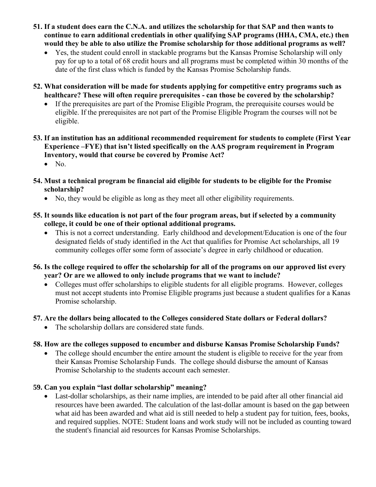- **51. If a student does earn the C.N.A. and utilizes the scholarship for that SAP and then wants to continue to earn additional credentials in other qualifying SAP programs (HHA, CMA, etc.) then would they be able to also utilize the Promise scholarship for those additional programs as well?** 
	- Yes, the student could enroll in stackable programs but the Kansas Promise Scholarship will only pay for up to a total of 68 credit hours and all programs must be completed within 30 months of the date of the first class which is funded by the Kansas Promise Scholarship funds.
- **52. What consideration will be made for students applying for competitive entry programs such as healthcare? These will often require prerequisites - can those be covered by the scholarship?** 
	- If the prerequisites are part of the Promise Eligible Program, the prerequisite courses would be eligible. If the prerequisites are not part of the Promise Eligible Program the courses will not be eligible.
- **53. If an institution has an additional recommended requirement for students to complete (First Year Experience –FYE) that isn't listed specifically on the AAS program requirement in Program Inventory, would that course be covered by Promise Act?**
	- No.
- **54. Must a technical program be financial aid eligible for students to be eligible for the Promise scholarship?** 
	- No, they would be eligible as long as they meet all other eligibility requirements.
- **55. It sounds like education is not part of the four program areas, but if selected by a community college, it could be one of their optional additional programs.** 
	- This is not a correct understanding. Early childhood and development/Education is one of the four designated fields of study identified in the Act that qualifies for Promise Act scholarships, all 19 community colleges offer some form of associate's degree in early childhood or education.
- **56. Is the college required to offer the scholarship for all of the programs on our approved list every year? Or are we allowed to only include programs that we want to include?** 
	- Colleges must offer scholarships to eligible students for all eligible programs. However, colleges must not accept students into Promise Eligible programs just because a student qualifies for a Kanas Promise scholarship.

# **57. Are the dollars being allocated to the Colleges considered State dollars or Federal dollars?**

• The scholarship dollars are considered state funds.

# **58. How are the colleges supposed to encumber and disburse Kansas Promise Scholarship Funds?**

• The college should encumber the entire amount the student is eligible to receive for the year from their Kansas Promise Scholarship Funds. The college should disburse the amount of Kansas Promise Scholarship to the students account each semester.

# **59. Can you explain "last dollar scholarship" meaning?**

Last-dollar scholarships, as their name implies, are intended to be paid after all other financial aid resources have been awarded. The calculation of the last-dollar amount is based on the gap between what aid has been awarded and what aid is still needed to help a student pay for tuition, fees, books, and required supplies. NOTE: Student loans and work study will not be included as counting toward the student's financial aid resources for Kansas Promise Scholarships.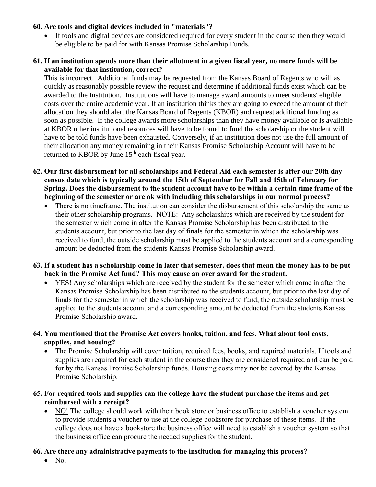## **60. Are tools and digital devices included in "materials"?**

• If tools and digital devices are considered required for every student in the course then they would be eligible to be paid for with Kansas Promise Scholarship Funds.

## **61. If an institution spends more than their allotment in a given fiscal year, no more funds will be available for that institution, correct?**

This is incorrect. Additional funds may be requested from the Kansas Board of Regents who will as quickly as reasonably possible review the request and determine if additional funds exist which can be awarded to the Institution. Institutions will have to manage award amounts to meet students' eligible costs over the entire academic year. If an institution thinks they are going to exceed the amount of their allocation they should alert the Kansas Board of Regents (KBOR) and request additional funding as soon as possible. If the college awards more scholarships than they have money available or is available at KBOR other institutional resources will have to be found to fund the scholarship or the student will have to be told funds have been exhausted. Conversely, if an institution does not use the full amount of their allocation any money remaining in their Kansas Promise Scholarship Account will have to be returned to KBOR by June  $15<sup>th</sup>$  each fiscal year.

- **62. Our first disbursement for all scholarships and Federal Aid each semester is after our 20th day census date which is typically around the 15th of September for Fall and 15th of February for Spring. Does the disbursement to the student account have to be within a certain time frame of the beginning of the semester or are ok with including this scholarships in our normal process?** 
	- There is no timeframe. The institution can consider the disbursement of this scholarship the same as their other scholarship programs. NOTE: Any scholarships which are received by the student for the semester which come in after the Kansas Promise Scholarship has been distributed to the students account, but prior to the last day of finals for the semester in which the scholarship was received to fund, the outside scholarship must be applied to the students account and a corresponding amount be deducted from the students Kansas Promise Scholarship award.
- **63. If a student has a scholarship come in later that semester, does that mean the money has to be put back in the Promise Act fund? This may cause an over award for the student.** 
	- YES! Any scholarships which are received by the student for the semester which come in after the Kansas Promise Scholarship has been distributed to the students account, but prior to the last day of finals for the semester in which the scholarship was received to fund, the outside scholarship must be applied to the students account and a corresponding amount be deducted from the students Kansas Promise Scholarship award.
- **64. You mentioned that the Promise Act covers books, tuition, and fees. What about tool costs, supplies, and housing?** 
	- The Promise Scholarship will cover tuition, required fees, books, and required materials. If tools and supplies are required for each student in the course then they are considered required and can be paid for by the Kansas Promise Scholarship funds. Housing costs may not be covered by the Kansas Promise Scholarship.
- **65. For required tools and supplies can the college have the student purchase the items and get reimbursed with a receipt?** 
	- NO! The college should work with their book store or business office to establish a voucher system to provide students a voucher to use at the college bookstore for purchase of these items. If the college does not have a bookstore the business office will need to establish a voucher system so that the business office can procure the needed supplies for the student.

# **66. Are there any administrative payments to the institution for managing this process?**

 $\bullet$  No.